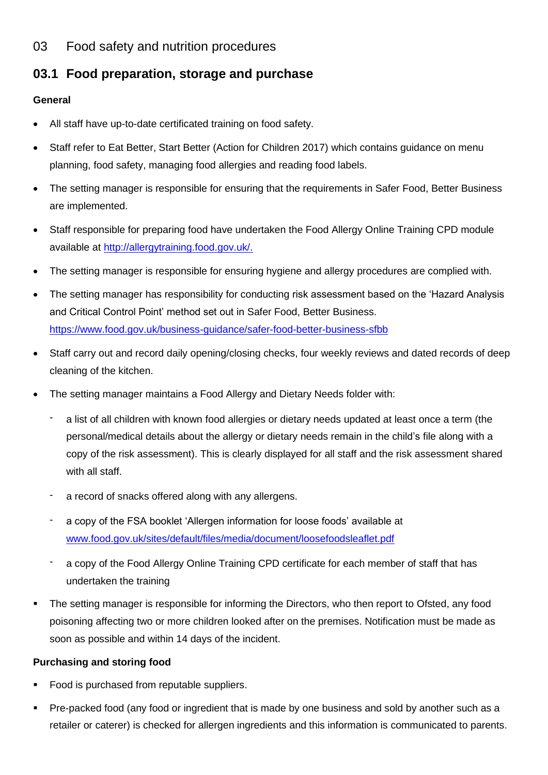## 03 Food safety and nutrition procedures

# **03.1 Food preparation, storage and purchase**

### **General**

- All staff have up-to-date certificated training on food safety.
- Staff refer to Eat Better, Start Better (Action for Children 2017) which contains guidance on menu planning, food safety, managing food allergies and reading food labels.
- The setting manager is responsible for ensuring that the requirements in Safer Food, Better Business are implemented.
- Staff responsible for preparing food have undertaken the Food Allergy Online Training CPD module available at [http://allergytraining.food.gov.uk/.](http://allergytraining.food.gov.uk/)
- The setting manager is responsible for ensuring hygiene and allergy procedures are complied with.
- The setting manager has responsibility for conducting risk assessment based on the 'Hazard Analysis and Critical Control Point' method set out in Safer Food, Better Business. <https://www.food.gov.uk/business-guidance/safer-food-better-business-sfbb>
- Staff carry out and record daily opening/closing checks, four weekly reviews and dated records of deep cleaning of the kitchen.
- The setting manager maintains a Food Allergy and Dietary Needs folder with:
	- a list of all children with known food allergies or dietary needs updated at least once a term (the personal/medical details about the allergy or dietary needs remain in the child's file along with a copy of the risk assessment). This is clearly displayed for all staff and the risk assessment shared with all staff.
	- a record of snacks offered along with any allergens.
	- a copy of the FSA booklet 'Allergen information for loose foods' available at [www.food.gov.uk/sites/default/files/media/document/loosefoodsleaflet.pdf](http://www.food.gov.uk/sites/default/files/media/document/loosefoodsleaflet.pdf)
	- a copy of the Food Allergy Online Training CPD certificate for each member of staff that has undertaken the training
- The setting manager is responsible for informing the Directors, who then report to Ofsted, any food poisoning affecting two or more children looked after on the premises. Notification must be made as soon as possible and within 14 days of the incident.

## **Purchasing and storing food**

- Food is purchased from reputable suppliers.
- Pre-packed food (any food or ingredient that is made by one business and sold by another such as a retailer or caterer) is checked for allergen ingredients and this information is communicated to parents.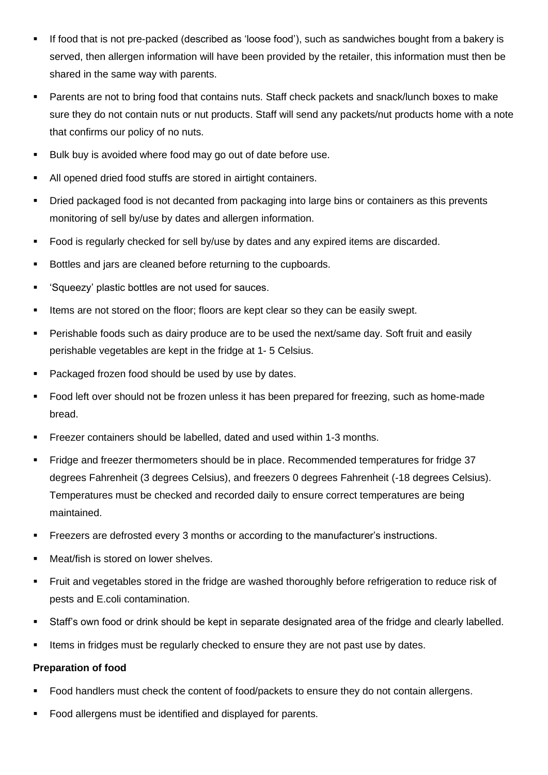- If food that is not pre-packed (described as 'loose food'), such as sandwiches bought from a bakery is served, then allergen information will have been provided by the retailer, this information must then be shared in the same way with parents.
- **•** Parents are not to bring food that contains nuts. Staff check packets and snack/lunch boxes to make sure they do not contain nuts or nut products. Staff will send any packets/nut products home with a note that confirms our policy of no nuts.
- Bulk buy is avoided where food may go out of date before use.
- All opened dried food stuffs are stored in airtight containers.
- Dried packaged food is not decanted from packaging into large bins or containers as this prevents monitoring of sell by/use by dates and allergen information.
- Food is regularly checked for sell by/use by dates and any expired items are discarded.
- Bottles and jars are cleaned before returning to the cupboards.
- 'Squeezy' plastic bottles are not used for sauces.
- **EXECT** Items are not stored on the floor; floors are kept clear so they can be easily swept.
- Perishable foods such as dairy produce are to be used the next/same day. Soft fruit and easily perishable vegetables are kept in the fridge at 1- 5 Celsius.
- Packaged frozen food should be used by use by dates.
- Food left over should not be frozen unless it has been prepared for freezing, such as home-made bread.
- Freezer containers should be labelled, dated and used within 1-3 months.
- Fridge and freezer thermometers should be in place. Recommended temperatures for fridge 37 degrees Fahrenheit (3 degrees Celsius), and freezers 0 degrees Fahrenheit (-18 degrees Celsius). Temperatures must be checked and recorded daily to ensure correct temperatures are being maintained.
- Freezers are defrosted every 3 months or according to the manufacturer's instructions.
- Meat/fish is stored on lower shelves.
- Fruit and vegetables stored in the fridge are washed thoroughly before refrigeration to reduce risk of pests and E.coli contamination.
- Staff's own food or drink should be kept in separate designated area of the fridge and clearly labelled.
- **.** Items in fridges must be regularly checked to ensure they are not past use by dates.

#### **Preparation of food**

- Food handlers must check the content of food/packets to ensure they do not contain allergens.
- Food allergens must be identified and displayed for parents.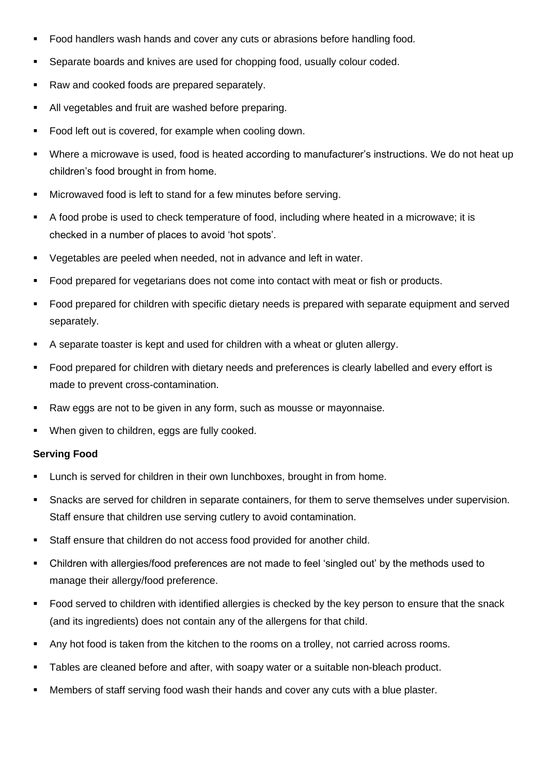- Food handlers wash hands and cover any cuts or abrasions before handling food.
- Separate boards and knives are used for chopping food, usually colour coded.
- Raw and cooked foods are prepared separately.
- All vegetables and fruit are washed before preparing.
- Food left out is covered, for example when cooling down.
- Where a microwave is used, food is heated according to manufacturer's instructions. We do not heat up children's food brought in from home.
- Microwaved food is left to stand for a few minutes before serving.
- A food probe is used to check temperature of food, including where heated in a microwave; it is checked in a number of places to avoid 'hot spots'.
- Vegetables are peeled when needed, not in advance and left in water.
- Food prepared for vegetarians does not come into contact with meat or fish or products.
- Food prepared for children with specific dietary needs is prepared with separate equipment and served separately.
- A separate toaster is kept and used for children with a wheat or gluten allergy.
- Food prepared for children with dietary needs and preferences is clearly labelled and every effort is made to prevent cross-contamination.
- Raw eggs are not to be given in any form, such as mousse or mayonnaise.
- When given to children, eggs are fully cooked.

#### **Serving Food**

- Lunch is served for children in their own lunchboxes, brought in from home.
- Snacks are served for children in separate containers, for them to serve themselves under supervision. Staff ensure that children use serving cutlery to avoid contamination.
- Staff ensure that children do not access food provided for another child.
- Children with allergies/food preferences are not made to feel 'singled out' by the methods used to manage their allergy/food preference.
- Food served to children with identified allergies is checked by the key person to ensure that the snack (and its ingredients) does not contain any of the allergens for that child.
- Any hot food is taken from the kitchen to the rooms on a trolley, not carried across rooms.
- **EXE** Tables are cleaned before and after, with soapy water or a suitable non-bleach product.
- Members of staff serving food wash their hands and cover any cuts with a blue plaster.